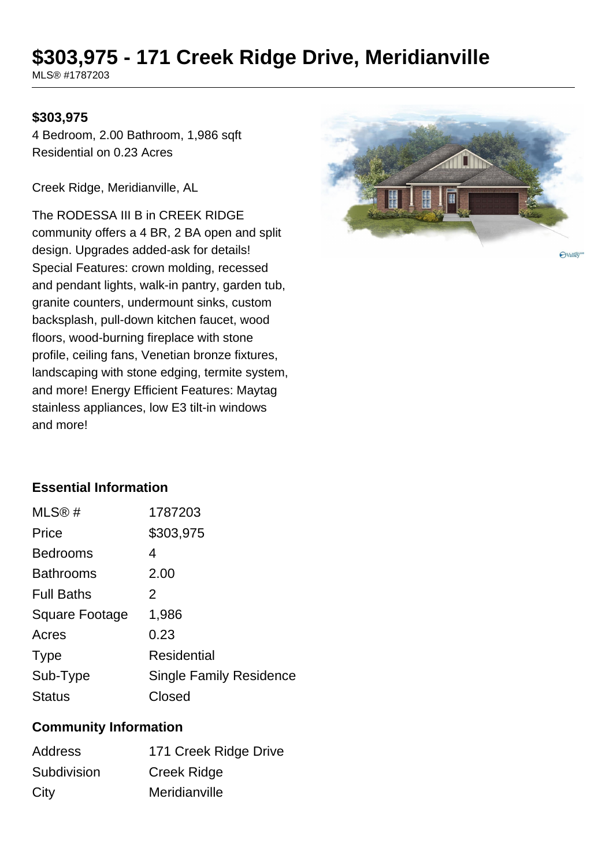# **\$303,975 - 171 Creek Ridge Drive, Meridianville**

MLS® #1787203

### **\$303,975**

4 Bedroom, 2.00 Bathroom, 1,986 sqft Residential on 0.23 Acres

Creek Ridge, Meridianville, AL

The RODESSA III B in CREEK RIDGE community offers a 4 BR, 2 BA open and split design. Upgrades added-ask for details! Special Features: crown molding, recessed and pendant lights, walk-in pantry, garden tub, granite counters, undermount sinks, custom backsplash, pull-down kitchen faucet, wood floors, wood-burning fireplace with stone profile, ceiling fans, Venetian bronze fixtures, landscaping with stone edging, termite system, and more! Energy Efficient Features: Maytag stainless appliances, low E3 tilt-in windows and more!



Ovalley

#### **Essential Information**

| MLS@#                 | 1787203                        |
|-----------------------|--------------------------------|
| Price                 | \$303,975                      |
| <b>Bedrooms</b>       | 4                              |
| <b>Bathrooms</b>      | 2.00                           |
| <b>Full Baths</b>     | 2                              |
| <b>Square Footage</b> | 1,986                          |
| Acres                 | 0.23                           |
| <b>Type</b>           | Residential                    |
| Sub-Type              | <b>Single Family Residence</b> |
| <b>Status</b>         | Closed                         |

#### **Community Information**

| <b>Address</b> | 171 Creek Ridge Drive |
|----------------|-----------------------|
| Subdivision    | Creek Ridge           |
| City           | Meridianville         |